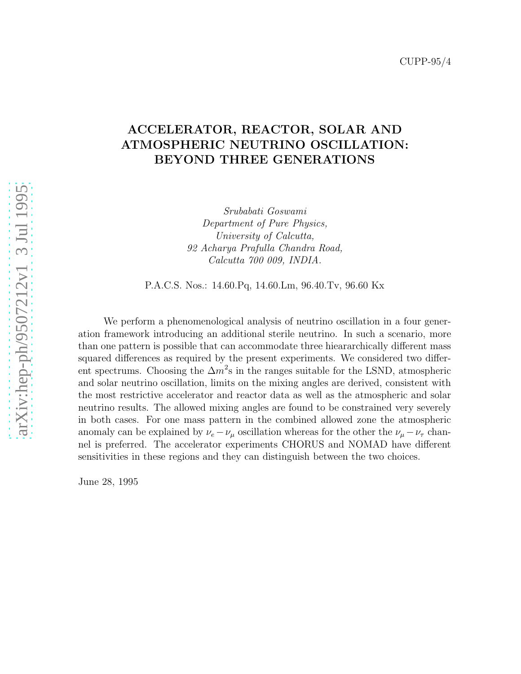## ACCELERATOR, REACTOR, SOLAR AND ATMOSPHERIC NEUTRINO OSCILLATION: BEYOND THREE GENERATIONS

Srubabati Goswami Department of Pure Physics, University of Calcutta, 92 Acharya Prafulla Chandra Road, Calcutta 700 009, INDIA.

P.A.C.S. Nos.: 14.60.Pq, 14.60.Lm, 96.40.Tv, 96.60 Kx

We perform a phenomenological analysis of neutrino oscillation in a four generation framework introducing an additional sterile neutrino. In such a scenario, more than one pattern is possible that can accommodate three hieararchically different mass squared differences as required by the present experiments. We considered two different spectrums. Choosing the  $\Delta m^2$ s in the ranges suitable for the LSND, atmospheric and solar neutrino oscillation, limits on the mixing angles are derived, consistent with the most restrictive accelerator and reactor data as well as the atmospheric and solar neutrino results. The allowed mixing angles are found to be constrained very severely in both cases. For one mass pattern in the combined allowed zone the atmospheric anomaly can be explained by  $\nu_e - \nu_\mu$  oscillation whereas for the other the  $\nu_\mu - \nu_\tau$  channel is preferred. The accelerator experiments CHORUS and NOMAD have different sensitivities in these regions and they can distinguish between the two choices.

June 28, 1995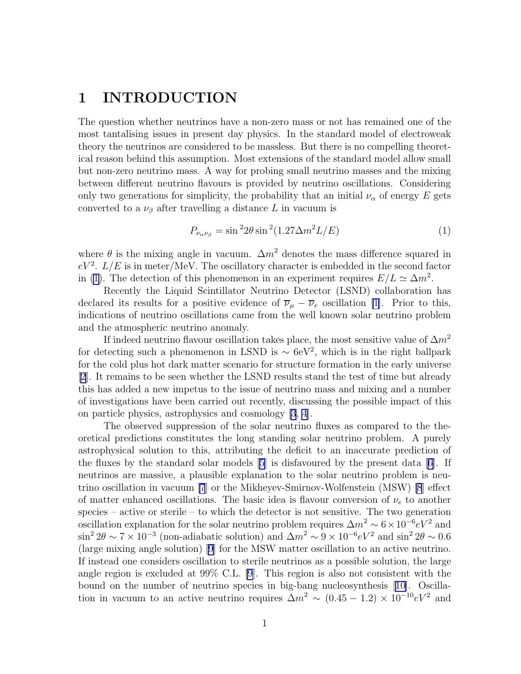# <span id="page-1-0"></span>1 INTRODUCTION

The question whether neutrinos have a non-zero mass or not has remained one of the most tantalising issues in present day physics. In the standard model of electroweak theory the neutrinos are considered to be massless. But there is no compelling theoretical reason behind this assumption. Most extensions of the standard model allow small but non-zero neutrino mass. A way for probing small neutrino masses and the mixing between different neutrino flavours is provided by neutrino oscillations. Considering only two generations for simplicity, the probability that an initial  $\nu_{\alpha}$  of energy E gets converted to a  $\nu_{\beta}$  after travelling a distance L in vacuum is

$$
P_{\nu_{\alpha}\nu_{\beta}} = \sin^2 2\theta \sin^2 (1.27 \Delta m^2 L/E) \tag{1}
$$

where  $\theta$  is the mixing angle in vacuum.  $\Delta m^2$  denotes the mass difference squared in  $eV^2$ .  $L/E$  is in meter/MeV. The oscillatory character is embedded in the second factor in (1). The detection of this phenomenon in an experiment requires  $E/L \simeq \Delta m^2$ .

Recently the Liquid Scintillator Neutrino Detector (LSND) collaboration has declared its results for a positive evidence of  $\overline{\nu}_{\mu} - \overline{\nu}_{e}$  oscillation [\[1\]](#page-20-0). Prior to this, indications of neutrino oscillations came from the well known solar neutrino problem and the atmospheric neutrino anomaly.

If indeed neutrino flavour oscillation takes place, the most sensitive value of  $\Delta m^2$ for detecting such a phenomenon in LSND is  $\sim 6$ eV<sup>2</sup>, which is in the right ballpark for the cold plus hot dark matter scenario for structure formation in the early universe [\[2](#page-20-0)]. It remains to be seen whether the LSND results stand the test of time but already this has added a new impetus to the issue of neutrino mass and mixing and a number of investigations have been carried out recently, discussing the possible impact of this on particle physics, astrophysics and cosmology [\[3](#page-20-0), [4](#page-20-0)].

The observed suppression of the solar neutrino fluxes as compared to the theoretical predictions constitutes the long standing solar neutrino problem. A purely astrophysical solution to this, attributing the deficit to an inaccurate prediction of the fluxes by the standard solar models [\[5](#page-20-0)] is disfavoured by the present data [\[6\]](#page-20-0). If neutrinos are massive, a plausible explanation to the solar neutrino problem is neutrino oscillation in vacuum [\[7](#page-20-0)] or the Mikheyev-Smirnov-Wolfenstein (MSW) [\[8](#page-20-0)] effect of matter enhanced oscillations. The basic idea is flavour conversion of  $\nu_e$  to another species – active or sterile – to which the detector is not sensitive. The two generation oscillation explanation for the solar neutrino problem requires  $\Delta m^2 \sim 6 \times 10^{-6} eV^2$  and  $\sin^2 2\theta \sim 7 \times 10^{-3}$  (non-adiabatic solution) and  $\Delta m^2 \sim 9 \times 10^{-6} eV^2$  and  $\sin^2 2\theta \sim 0.6$ (large mixing angle solution) [\[9\]](#page-20-0) for the MSW matter oscillation to an active neutrino. If instead one considers oscillation to sterile neutrinos as a possible solution, the large angle region is excluded at 99% C.L. [\[9](#page-20-0)]. This region is also not consistent with the bound on the number of neutrino species in big-bang nucleosynthesis[[10\]](#page-20-0). Oscillation in vacuum to an active neutrino requires  $\Delta m^2 \sim (0.45 - 1.2) \times 10^{-10} eV^2$  and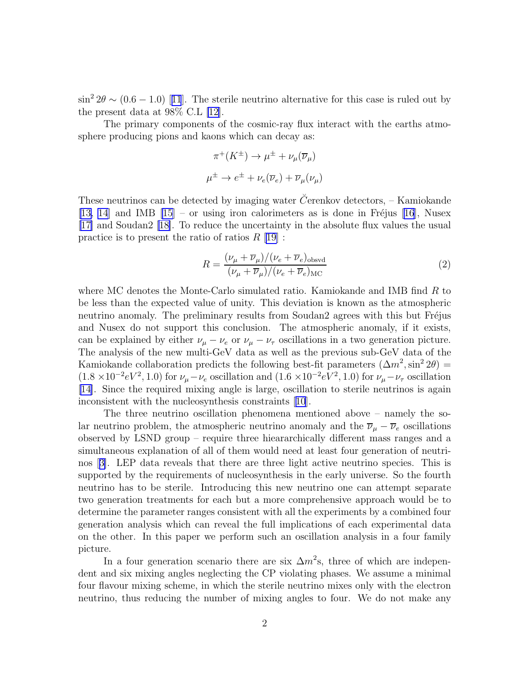<span id="page-2-0"></span> $\sin^2 2\theta \sim (0.6 - 1.0)$  $\sin^2 2\theta \sim (0.6 - 1.0)$  $\sin^2 2\theta \sim (0.6 - 1.0)$  [[11](#page-20-0)]. The sterile neutrino alternative for this case is ruled out by the present data at 98% C.L [\[12](#page-20-0)].

The primary components of the cosmic-ray flux interact with the earths atmosphere producing pions and kaons which can decay as:

$$
\pi^+(K^{\pm}) \to \mu^{\pm} + \nu_{\mu}(\overline{\nu}_{\mu})
$$
  

$$
\mu^{\pm} \to e^{\pm} + \nu_e(\overline{\nu}_e) + \overline{\nu}_{\mu}(\nu_{\mu})
$$

These neutrinos can be detected by imaging water C<sup> $\check{C}$ </sup>erenkov detectors, – Kamiokande [\[13, 14](#page-20-0)] and IMB  $[15]$  – or using iron calorimeters as is done in Fréjus [\[16\]](#page-20-0), Nusex [\[17\]](#page-20-0) and Soudan2 [\[18\]](#page-21-0). To reduce the uncertainty in the absolute flux values the usual practice is to present the ratio of ratios  $R$  [\[19\]](#page-21-0):

$$
R = \frac{(\nu_{\mu} + \overline{\nu}_{\mu})/(\nu_e + \overline{\nu}_e)_{\text{obsvd}}}{(\nu_{\mu} + \overline{\nu}_{\mu})/(\nu_e + \overline{\nu}_e)_{\text{MC}}}
$$
(2)

where MC denotes the Monte-Carlo simulated ratio. Kamiokande and IMB find R to be less than the expected value of unity. This deviation is known as the atmospheric neutrino anomaly. The preliminary results from Soudan2 agrees with this but Fréjus and Nusex do not support this conclusion. The atmospheric anomaly, if it exists, can be explained by either  $\nu_{\mu} - \nu_{e}$  or  $\nu_{\mu} - \nu_{\tau}$  oscillations in a two generation picture. The analysis of the new multi-GeV data as well as the previous sub-GeV data of the Kamiokande collaboration predicts the following best-fit parameters  $(\Delta m^2, \sin^2 2\theta)$  $(1.8 \times 10^{-2} eV^2, 1.0)$  for  $\nu_{\mu} - \nu_{e}$  oscillation and  $(1.6 \times 10^{-2} eV^2, 1.0)$  for  $\nu_{\mu} - \nu_{\tau}$  oscillation [\[14\]](#page-20-0). Since the required mixing angle is large, oscillation to sterile neutrinos is again inconsistent with the nucleosynthesis constraints[[10](#page-20-0)].

The three neutrino oscillation phenomena mentioned above – namely the solar neutrino problem, the atmospheric neutrino anomaly and the  $\overline{\nu}_{\mu} - \overline{\nu}_{e}$  oscillations observed by LSND group – require three hieararchically different mass ranges and a simultaneous explanation of all of them would need at least four generation of neutrinos[[3\]](#page-20-0). LEP data reveals that there are three light active neutrino species. This is supported by the requirements of nucleosynthesis in the early universe. So the fourth neutrino has to be sterile. Introducing this new neutrino one can attempt separate two generation treatments for each but a more comprehensive approach would be to determine the parameter ranges consistent with all the experiments by a combined four generation analysis which can reveal the full implications of each experimental data on the other. In this paper we perform such an oscillation analysis in a four family picture.

In a four generation scenario there are six  $\Delta m^2$ s, three of which are independent and six mixing angles neglecting the CP violating phases. We assume a minimal four flavour mixing scheme, in which the sterile neutrino mixes only with the electron neutrino, thus reducing the number of mixing angles to four. We do not make any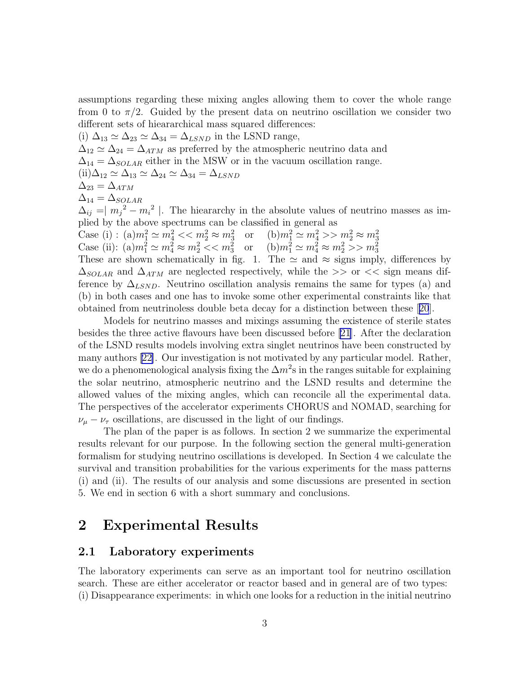assumptions regarding these mixing angles allowing them to cover the whole range from 0 to  $\pi/2$ . Guided by the present data on neutrino oscillation we consider two different sets of hieararchical mass squared differences:

(i)  $\Delta_{13} \simeq \Delta_{23} \simeq \Delta_{34} = \Delta_{LSND}$  in the LSND range,  $\Delta_{12} \simeq \Delta_{24} = \Delta_{ATM}$  as preferred by the atmospheric neutrino data and  $\Delta_{14} = \Delta_{SOLAR}$  either in the MSW or in the vacuum oscillation range.  $(ii)\Delta_{12} \simeq \Delta_{13} \simeq \Delta_{24} \simeq \Delta_{34} = \Delta_{LSND}$  $\Delta_{23} = \Delta_{ATM}$  $\Delta_{14} = \Delta_{SOLAR}$  $\Delta_{ij} = |m_j^2 - m_i^2|$ . The hieararchy in the absolute values of neutrino masses as implied by the above spectrums can be classified in general as Case (i) :  $(a)m_1^2 \simeq m_4^2 \ll m_2^2 \approx m_3^2$  or  $(b)m_1^2 \simeq m_4^2 >> m_2^2 \approx m_3^2$ <br>Case (ii):  $(a)m_1^2 \simeq m_4^2 \approx m_2^2 \ll m_3^2$  or  $(b)m_1^2 \simeq m_4^2 \approx m_2^2 >> m_3^2$ These are shown schematically in fig. 1. The  $\simeq$  and  $\approx$  signs imply, differences by  $\Delta_{SOLAR}$  and  $\Delta_{ATM}$  are neglected respectively, while the >> or << sign means difference by  $\Delta_{LSND}$ . Neutrino oscillation analysis remains the same for types (a) and (b) in both cases and one has to invoke some other experimental constraints like that

obtained from neutrinoless double beta decay for a distinction between these[[20](#page-21-0)]. Models for neutrino masses and mixings assuming the existence of sterile states besides the three active flavours have been discussed before [\[21\]](#page-21-0). After the declaration of the LSND results models involving extra singlet neutrinos have been constructed by many authors[[22\]](#page-21-0). Our investigation is not motivated by any particular model. Rather, we do a phenomenological analysis fixing the  $\Delta m^2$ s in the ranges suitable for explaining the solar neutrino, atmospheric neutrino and the LSND results and determine the allowed values of the mixing angles, which can reconcile all the experimental data. The perspectives of the accelerator experiments CHORUS and NOMAD, searching for  $\nu_{\mu} - \nu_{\tau}$  oscillations, are discussed in the light of our findings.

The plan of the paper is as follows. In section 2 we summarize the experimental results relevant for our purpose. In the following section the general multi-generation formalism for studying neutrino oscillations is developed. In Section 4 we calculate the survival and transition probabilities for the various experiments for the mass patterns (i) and (ii). The results of our analysis and some discussions are presented in section 5. We end in section 6 with a short summary and conclusions.

## 2 Experimental Results

#### 2.1 Laboratory experiments

The laboratory experiments can serve as an important tool for neutrino oscillation search. These are either accelerator or reactor based and in general are of two types: (i) Disappearance experiments: in which one looks for a reduction in the initial neutrino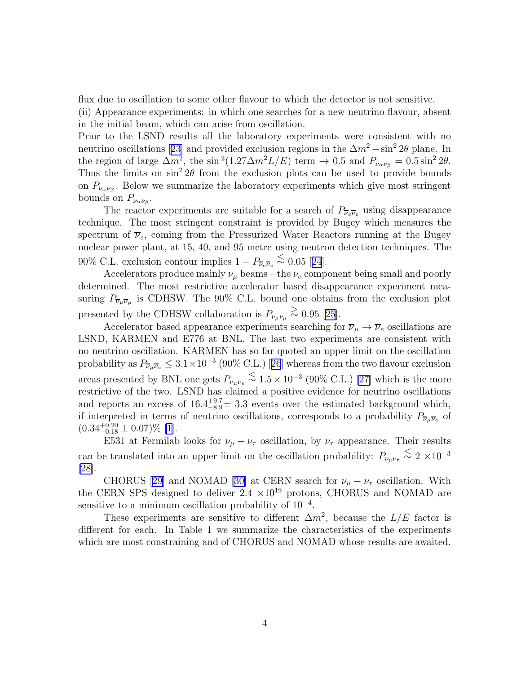flux due to oscillation to some other flavour to which the detector is not sensitive.

(ii) Appearance experiments: in which one searches for a new neutrino flavour, absent in the initial beam, which can arise from oscillation.

Prior to the LSND results all the laboratory experiments were consistent with no neutrinooscillations [[23\]](#page-21-0) and provided exclusion regions in the  $\Delta m^2 - \sin^2 2\theta$  plane. In the region of large  $\Delta m^2$ , the sin<sup>2</sup>(1.27 $\Delta m^2 L/E$ ) term  $\rightarrow$  0.5 and  $P_{\nu_{\alpha}\nu_{\beta}} = 0.5 \sin^2 2\theta$ . Thus the limits on  $\sin^2 2\theta$  from the exclusion plots can be used to provide bounds on  $P_{\nu_{\alpha}\nu_{\beta}}$ . Below we summarize the laboratory experiments which give most stringent bounds on  $P_{\nu_{\alpha} \nu_{\beta}}$ .

The reactor experiments are suitable for a search of  $P_{\overline{\nu}_e \overline{\nu}_e}$  using disappearance technique. The most stringent constraint is provided by Bugey which measures the spectrum of  $\overline{\nu}_e$ , coming from the Pressurized Water Reactors running at the Bugey nuclear power plant, at 15, 40, and 95 metre using neutron detection techniques. The 90%C.L. exclusion contour implies  $1 - P_{\overline{\nu}e\overline{\nu}e} \stackrel{\text{<}{\sim}}{0.05}$  [[24](#page-21-0)].

Accelerators produce mainly  $\nu_{\mu}$  beams – the  $\nu_e$  component being small and poorly determined. The most restrictive accelerator based disappearance experiment measuring  $P_{\overline{\nu}_{\mu}\overline{\nu}_{\mu}}$  is CDHSW. The 90% C.L. bound one obtains from the exclusion plot presentedby the CDHSW collaboration is  $P_{\nu_{\mu}\nu_{\mu}} \stackrel{>}{\sim} 0.95$  [[25](#page-21-0)].

Accelerator based appearance experiments searching for  $\overline{\nu}_{\mu} \to \overline{\nu}_{e}$  oscillations are LSND, KARMEN and E776 at BNL. The last two experiments are consistent with no neutrino oscillation. KARMEN has so far quoted an upper limit on the oscillation probabilityas  $P_{\overline{\nu}_\mu \overline{\nu}_e} \leq 3.1 \times 10^{-3}$  (90% C.L.) [[26](#page-21-0)] whereas from the two flavour exclusion areas presented by BNL one gets  $P_{\overline{\nu}_{\mu}\overline{\nu}_{e}} \leq 1.5 \times 10^{-3}$  (90% C.L.) [\[27\]](#page-21-0) which is the more restrictive of the two. LSND has claimed a positive evidence for neutrino oscillations and reports an excess of  $16.4^{+9.7}_{-8.9}\pm 3.3$  events over the estimated background which, if interpreted in terms of neutrino oscillations, corresponds to a probability  $P_{\overline{\nu}_\mu \overline{\nu}_e}$  of  $(0.34^{+0.20}_{-0.18} \pm 0.07)\%$  [\[1](#page-20-0)].

E531 at Fermilab looks for  $\nu_{\mu} - \nu_{\tau}$  oscillation, by  $\nu_{\tau}$  appearance. Their results can be translated into an upper limit on the oscillation probability:  $P_{\nu_\mu\nu_\tau} \stackrel{\leq}{\sim} 2 \times 10^{-3}$ [\[28\]](#page-21-0).

CHORUS [\[29\]](#page-21-0) and NOMAD [\[30](#page-21-0)] at CERN search for  $\nu_\mu - \nu_\tau$  oscillation. With the CERN SPS designed to deliver  $2.4 \times 10^{19}$  protons, CHORUS and NOMAD are sensitive to a minimum oscillation probability of 10<sup>-4</sup>.

These experiments are sensitive to different  $\Delta m^2$ , because the  $L/E$  factor is different for each. In Table 1 we summarize the characteristics of the experiments which are most constraining and of CHORUS and NOMAD whose results are awaited.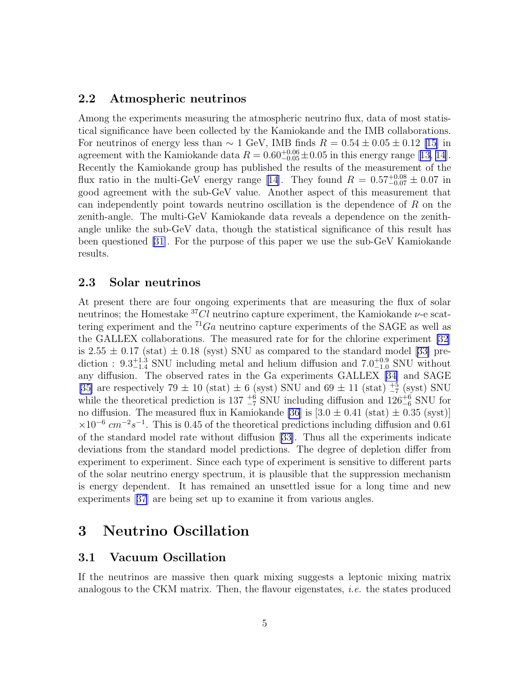### 2.2 Atmospheric neutrinos

Among the experiments measuring the atmospheric neutrino flux, data of most statistical significance have been collected by the Kamiokande and the IMB collaborations. For neutrinos of energy less than  $\sim 1$  GeV, IMB finds  $R = 0.54 \pm 0.05 \pm 0.12$  [\[15](#page-20-0)] in agreementwith the Kamiokande data  $R = 0.60_{-0.05}^{+0.06} \pm 0.05$  in this energy range [[13, 14\]](#page-20-0). Recently the Kamiokande group has published the results of the measurement of the flux ratio in the multi-GeV energy range [\[14\]](#page-20-0). They found  $R = 0.57^{+0.08}_{-0.07} \pm 0.07$  in good agreement with the sub-GeV value. Another aspect of this measurement that can independently point towards neutrino oscillation is the dependence of R on the zenith-angle. The multi-GeV Kamiokande data reveals a dependence on the zenithangle unlike the sub-GeV data, though the statistical significance of this result has been questioned [\[31](#page-21-0)]. For the purpose of this paper we use the sub-GeV Kamiokande results.

### 2.3 Solar neutrinos

At present there are four ongoing experiments that are measuring the flux of solar neutrinos; the Homestake  ${}^{37}Cl$  neutrino capture experiment, the Kamiokande  $\nu$ -e scattering experiment and the  ${}^{71}Ga$  neutrino capture experiments of the SAGE as well as the GALLEX collaborations. The measured rate for for the chlorine experiment [\[32](#page-21-0)] is $2.55 \pm 0.17$  (stat)  $\pm 0.18$  (syst) SNU as compared to the standard model [[33\]](#page-21-0) prediction :  $9.3_{-1.4}^{+1.3}$  SNU including metal and helium diffusion and  $7.0_{-1.0}^{+0.9}$  SNU without any diffusion. The observed rates in the Ga experiments GALLEX [\[34](#page-21-0)] and SAGE [\[35\]](#page-22-0) are respectively  $79 \pm 10$  (stat)  $\pm 6$  (syst) SNU and  $69 \pm 11$  (stat)  $\frac{+5}{-7}$  (syst) SNU while the theoretical prediction is  $137 \frac{+6}{7}$  SNU including diffusion and  $126\frac{+6}{6}$  SNU for no diffusion. The measured flux in Kamiokande [\[36](#page-22-0)] is  $[3.0 \pm 0.41 \text{ (stat)} \pm 0.35 \text{ (syst)}]$  $\times 10^{-6}$  cm<sup>-2</sup>s<sup>-1</sup>. This is 0.45 of the theoretical predictions including diffusion and 0.61 of the standard model rate without diffusion [\[33\]](#page-21-0). Thus all the experiments indicate deviations from the standard model predictions. The degree of depletion differ from experiment to experiment. Since each type of experiment is sensitive to different parts of the solar neutrino energy spectrum, it is plausible that the suppression mechanism is energy dependent. It has remained an unsettled issue for a long time and new experiments[[37](#page-22-0)] are being set up to examine it from various angles.

# 3 Neutrino Oscillation

### 3.1 Vacuum Oscillation

If the neutrinos are massive then quark mixing suggests a leptonic mixing matrix analogous to the CKM matrix. Then, the flavour eigenstates, i.e. the states produced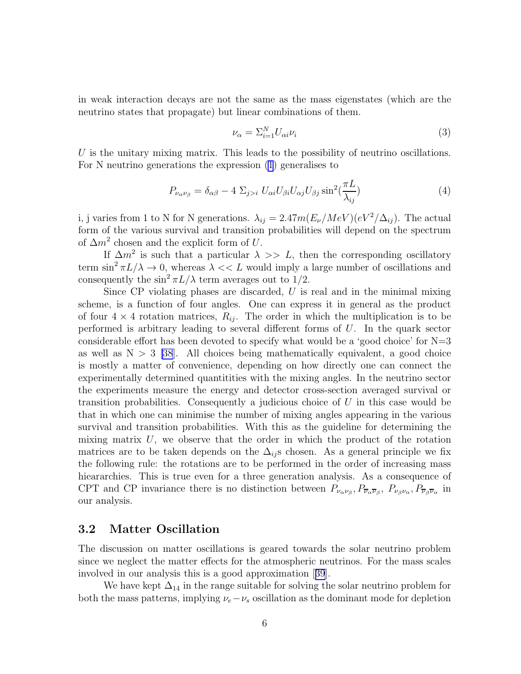in weak interaction decays are not the same as the mass eigenstates (which are the neutrino states that propagate) but linear combinations of them.

$$
\nu_{\alpha} = \sum_{i=1}^{N} U_{\alpha i} \nu_i \tag{3}
$$

U is the unitary mixing matrix. This leads to the possibility of neutrino oscillations. For N neutrino generations the expression [\(1](#page-1-0)) generalises to

$$
P_{\nu_{\alpha}\nu_{\beta}} = \delta_{\alpha\beta} - 4 \Sigma_{j>i} U_{\alpha i} U_{\beta i} U_{\alpha j} U_{\beta j} \sin^2(\frac{\pi L}{\lambda_{ij}})
$$
(4)

i, j varies from 1 to N for N generations.  $\lambda_{ij} = 2.47 m (E_{\nu}/MeV) (eV^2/\Delta_{ij})$ . The actual form of the various survival and transition probabilities will depend on the spectrum of  $\Delta m^2$  chosen and the explicit form of U.

If  $\Delta m^2$  is such that a particular  $\lambda >> L$ , then the corresponding oscillatory term  $\sin^2 \pi L/\lambda \to 0$ , whereas  $\lambda \ll L$  would imply a large number of oscillations and consequently the  $\sin^2 \pi L / \lambda$  term averages out to 1/2.

Since CP violating phases are discarded,  $U$  is real and in the minimal mixing scheme, is a function of four angles. One can express it in general as the product of four  $4 \times 4$  rotation matrices,  $R_{ij}$ . The order in which the multiplication is to be performed is arbitrary leading to several different forms of U. In the quark sector considerable effort has been devoted to specify what would be a 'good choice' for  $N=3$ as well as  $N > 3$  [\[38](#page-22-0)]. All choices being mathematically equivalent, a good choice is mostly a matter of convenience, depending on how directly one can connect the experimentally determined quantitities with the mixing angles. In the neutrino sector the experiments measure the energy and detector cross-section averaged survival or transition probabilities. Consequently a judicious choice of  $U$  in this case would be that in which one can minimise the number of mixing angles appearing in the various survival and transition probabilities. With this as the guideline for determining the mixing matrix  $U$ , we observe that the order in which the product of the rotation matrices are to be taken depends on the  $\Delta_{ij}$ s chosen. As a general principle we fix the following rule: the rotations are to be performed in the order of increasing mass hieararchies. This is true even for a three generation analysis. As a consequence of CPT and CP invariance there is no distinction between  $P_{\nu_\alpha\nu_\beta}, P_{\overline{\nu}_\alpha\overline{\nu}_\beta}, P_{\nu_\beta\nu_\alpha}, P_{\overline{\nu}_\beta\overline{\nu}_\alpha}$  in our analysis.

### 3.2 Matter Oscillation

The discussion on matter oscillations is geared towards the solar neutrino problem since we neglect the matter effects for the atmospheric neutrinos. For the mass scales involved in our analysis this is a good approximation[[39](#page-22-0)].

We have kept  $\Delta_{14}$  in the range suitable for solving the solar neutrino problem for both the mass patterns, implying  $\nu_e - \nu_s$  oscillation as the dominant mode for depletion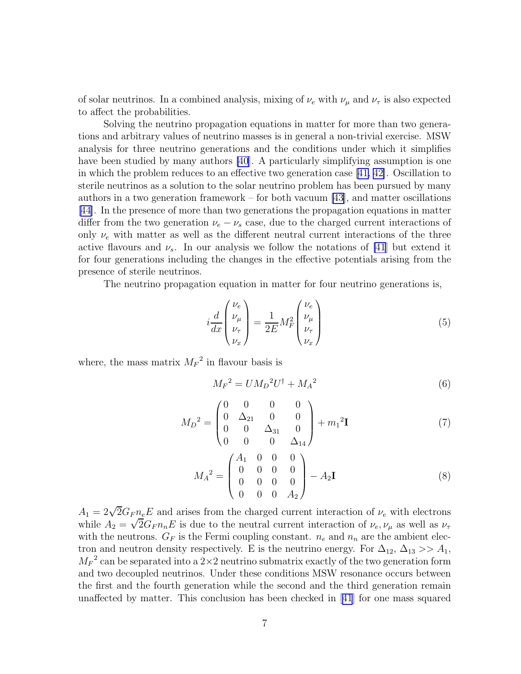of solar neutrinos. In a combined analysis, mixing of  $\nu_e$  with  $\nu_\mu$  and  $\nu_\tau$  is also expected to affect the probabilities.

Solving the neutrino propagation equations in matter for more than two generations and arbitrary values of neutrino masses is in general a non-trivial exercise. MSW analysis for three neutrino generations and the conditions under which it simplifies have been studied by many authors [\[40](#page-22-0)]. A particularly simplifying assumption is one in which the problem reduces to an effective two generation case[[41,](#page-22-0) [42\]](#page-22-0). Oscillation to sterile neutrinos as a solution to the solar neutrino problem has been pursued by many authors in a two generation framework – for both vacuum  $[43]$ , and matter oscillations [\[44\]](#page-22-0). In the presence of more than two generations the propagation equations in matter differ from the two generation  $\nu_e - \nu_s$  case, due to the charged current interactions of only  $\nu_e$  with matter as well as the different neutral current interactions of the three active flavours and  $\nu_s$ . In our analysis we follow the notations of [\[41](#page-22-0)] but extend it for four generations including the changes in the effective potentials arising from the presence of sterile neutrinos.

The neutrino propagation equation in matter for four neutrino generations is,

$$
i\frac{d}{dx}\begin{pmatrix} \nu_e \\ \nu_\mu \\ \nu_\tau \\ \nu_x \end{pmatrix} = \frac{1}{2E}M_F^2 \begin{pmatrix} \nu_e \\ \nu_\mu \\ \nu_\tau \\ \nu_x \end{pmatrix}
$$
 (5)

where, the mass matrix  $M_F^2$  in flavour basis is

$$
M_F{}^2 = U M_D{}^2 U^\dagger + M_A{}^2 \tag{6}
$$

$$
M_D{}^2 = \begin{pmatrix} 0 & 0 & 0 & 0 \\ 0 & \Delta_{21} & 0 & 0 \\ 0 & 0 & \Delta_{31} & 0 \\ 0 & 0 & 0 & \Delta_{14} \end{pmatrix} + m_1{}^2 \mathbf{I} \tag{7}
$$

$$
M_A^2 = \begin{pmatrix} A_1 & 0 & 0 & 0 \\ 0 & 0 & 0 & 0 \\ 0 & 0 & 0 & 0 \\ 0 & 0 & 0 & A_2 \end{pmatrix} - A_2 \mathbf{I}
$$
 (8)

 $A_1 = 2\sqrt{2}G_F n_e E$  and arises from the charged current interaction of  $\nu_e$  with electrons while  $A_2 = \sqrt{2}G_F n_n E$  is due to the neutral current interaction of  $\nu_e$ ,  $\nu_\mu$  as well as  $\nu_\tau$ with the neutrons.  $G_F$  is the Fermi coupling constant.  $n_e$  and  $n_n$  are the ambient electron and neutron density respectively. E is the neutrino energy. For  $\Delta_{12}$ ,  $\Delta_{13} >> A_1$ ,  $M_F^2$  can be separated into a 2×2 neutrino submatrix exactly of the two generation form and two decoupled neutrinos. Under these conditions MSW resonance occurs between the first and the fourth generation while the second and the third generation remain unaffected by matter. This conclusion has been checked in[[41](#page-22-0)] for one mass squared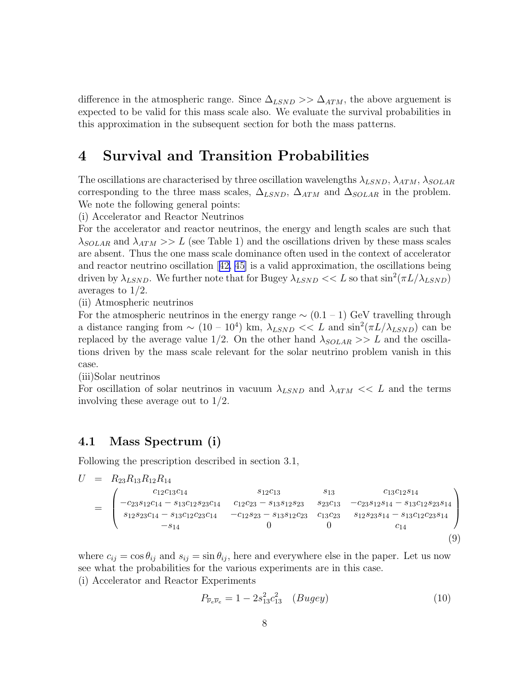difference in the atmospheric range. Since  $\Delta_{LSND} >> \Delta_{ATM}$ , the above arguement is expected to be valid for this mass scale also. We evaluate the survival probabilities in this approximation in the subsequent section for both the mass patterns.

## 4 Survival and Transition Probabilities

The oscillations are characterised by three oscillation wavelengths  $\lambda_{LSND}$ ,  $\lambda_{ATM}$ ,  $\lambda_{SOLAR}$ corresponding to the three mass scales,  $\Delta_{LSND}$ ,  $\Delta_{ATM}$  and  $\Delta_{SOLAR}$  in the problem. We note the following general points:

(i) Accelerator and Reactor Neutrinos

For the accelerator and reactor neutrinos, the energy and length scales are such that  $\lambda_{SOLAR}$  and  $\lambda_{ATM} >> L$  (see Table 1) and the oscillations driven by these mass scales are absent. Thus the one mass scale dominance often used in the context of accelerator and reactor neutrino oscillation[[42, 45\]](#page-22-0) is a valid approximation, the oscillations being driven by  $\lambda_{LSND}$ . We further note that for Bugey  $\lambda_{LSND} << L$  so that  $\sin^2(\pi L/\lambda_{LSND})$ averages to 1/2.

(ii) Atmospheric neutrinos

For the atmospheric neutrinos in the energy range  $\sim (0.1 - 1)$  GeV travelling through a distance ranging from  $\sim (10 - 10^4)$  km,  $\lambda_{LSND} << L$  and  $\sin^2(\pi L/\lambda_{LSND})$  can be replaced by the average value 1/2. On the other hand  $\lambda_{SOLAR} >> L$  and the oscillations driven by the mass scale relevant for the solar neutrino problem vanish in this case.

(iii)Solar neutrinos

For oscillation of solar neutrinos in vacuum  $\lambda_{LSND}$  and  $\lambda_{ATM} << L$  and the terms involving these average out to 1/2.

## 4.1 Mass Spectrum (i)

Following the prescription described in section 3.1,

$$
U = R_{23}R_{13}R_{12}R_{14}
$$
  
\n
$$
= \begin{pmatrix} c_{12}c_{13}c_{14} & s_{12}c_{13} & s_{13} & c_{13}c_{12}s_{14} \\ -c_{23}s_{12}c_{14} - s_{13}c_{12}s_{23}c_{14} & c_{12}c_{23} - s_{13}s_{12}s_{23} & s_{23}c_{13} & -c_{23}s_{12}s_{14} - s_{13}c_{12}s_{23}s_{14} \\ s_{12}s_{23}c_{14} - s_{13}c_{12}c_{23}c_{14} & -c_{12}s_{23} - s_{13}s_{12}c_{23} & c_{13}c_{23} & s_{12}s_{23}s_{14} - s_{13}c_{12}c_{23}s_{14} \\ -s_{14} & 0 & 0 & c_{14} \end{pmatrix}
$$
  
\n(9)

where  $c_{ij} = \cos \theta_{ij}$  and  $s_{ij} = \sin \theta_{ij}$ , here and everywhere else in the paper. Let us now see what the probabilities for the various experiments are in this case.

(i) Accelerator and Reactor Experiments

$$
P_{\overline{\nu}_e \overline{\nu}_e} = 1 - 2s_{13}^2 c_{13}^2 \quad (Bugey)
$$
 (10)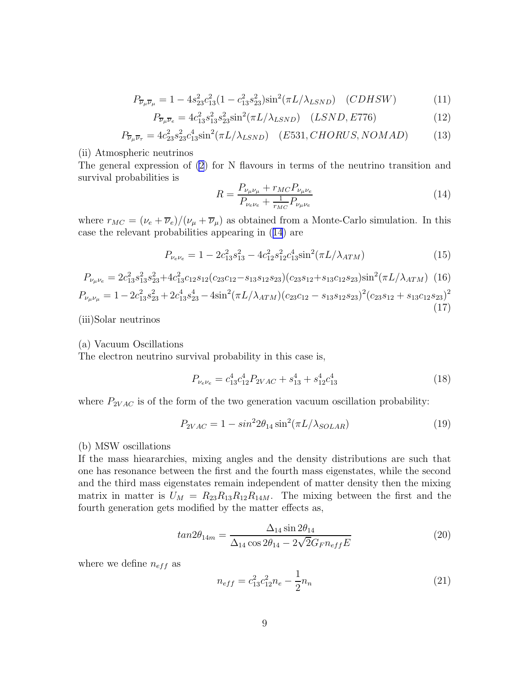<span id="page-9-0"></span>
$$
P_{\overline{\nu}_{\mu}\overline{\nu}_{\mu}} = 1 - 4s_{23}^2 c_{13}^2 (1 - c_{13}^2 s_{23}^2) \sin^2(\pi L/\lambda_{LSND}) \quad (CDHSW)
$$
 (11)

$$
P_{\overline{\nu}_{\mu}\overline{\nu}_{e}} = 4c_{13}^{2}s_{13}^{2}s_{23}^{2}\sin^{2}(\pi L/\lambda_{LSND}) \quad (LSND, E776)
$$
 (12)

$$
P_{\overline{\nu}_{\mu}\overline{\nu}_{\tau}} = 4c_{23}^2 s_{23}^2 c_{13}^4 \sin^2(\pi L/\lambda_{LSND}) \quad (E531, CHORUS, NOMAD)
$$
 (13)

(ii) Atmospheric neutrinos

The general expression of [\(2](#page-2-0)) for N flavours in terms of the neutrino transition and survival probabilities is

$$
R = \frac{P_{\nu_{\mu}\nu_{\mu}} + r_{MC}P_{\nu_{\mu}\nu_{e}}}{P_{\nu_{e}\nu_{e}} + \frac{1}{r_{MC}}P_{\nu_{\mu}\nu_{e}}}
$$
(14)

(17)

where  $r_{MC} = (\nu_e + \overline{\nu}_e)/(\nu_\mu + \overline{\nu}_\mu)$  as obtained from a Monte-Carlo simulation. In this case the relevant probabilities appearing in (14) are

$$
P_{\nu_e \nu_e} = 1 - 2c_{13}^2 s_{13}^2 - 4c_{12}^2 s_{12}^2 c_{13}^4 \sin^2(\pi L / \lambda_{ATM})
$$
\n(15)

$$
P_{\nu_{\mu}\nu_{e}} = 2c_{13}^{2}s_{13}^{2}s_{23}^{2} + 4c_{13}^{2}c_{12}s_{12}(c_{23}c_{12} - s_{13}s_{12}s_{23})(c_{23}s_{12} + s_{13}c_{12}s_{23})\sin^{2}(\pi L/\lambda_{ATM})
$$
 (16)  
\n
$$
P_{\nu_{\mu}\nu_{\mu}} = 1 - 2c_{13}^{2}s_{23}^{2} + 2c_{13}^{4}s_{23}^{4} - 4\sin^{2}(\pi L/\lambda_{ATM})(c_{23}c_{12} - s_{13}s_{12}s_{23})^{2}(c_{23}s_{12} + s_{13}c_{12}s_{23})^{2}
$$

(iii)Solar neutrinos

#### (a) Vacuum Oscillations

The electron neutrino survival probability in this case is,

$$
P_{\nu_e \nu_e} = c_{13}^4 c_{12}^4 P_{2VAC} + s_{13}^4 + s_{12}^4 c_{13}^4 \tag{18}
$$

where  $P_{2VAC}$  is of the form of the two generation vacuum oscillation probability:

$$
P_{2VAC} = 1 - \sin^2 2\theta_{14} \sin^2(\pi L/\lambda_{SOLAR})
$$
\n(19)

#### (b) MSW oscillations

If the mass hieararchies, mixing angles and the density distributions are such that one has resonance between the first and the fourth mass eigenstates, while the second and the third mass eigenstates remain independent of matter density then the mixing matrix in matter is  $U_M = R_{23}R_{13}R_{12}R_{14M}$ . The mixing between the first and the fourth generation gets modified by the matter effects as,

$$
tan 2\theta_{14m} = \frac{\Delta_{14} \sin 2\theta_{14}}{\Delta_{14} \cos 2\theta_{14} - 2\sqrt{2}G_F n_{eff} E}
$$
(20)

where we define  $n_{eff}$  as

$$
n_{eff} = c_{13}^2 c_{12}^2 n_e - \frac{1}{2} n_n \tag{21}
$$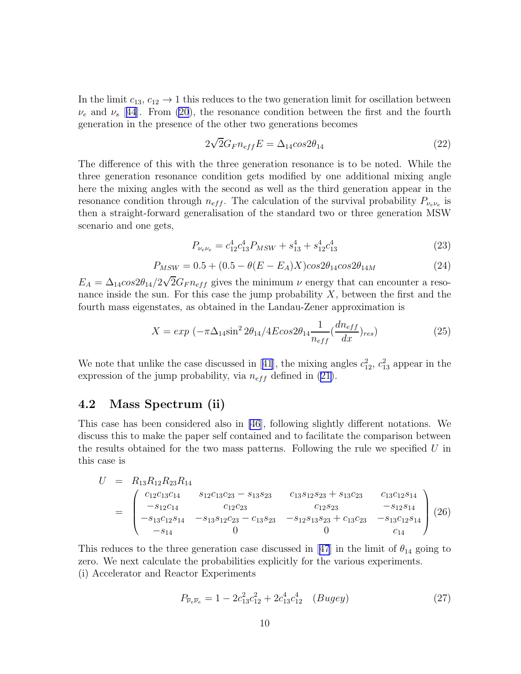<span id="page-10-0"></span>In the limit  $c_{13}, c_{12} \rightarrow 1$  this reduces to the two generation limit for oscillation between  $\nu_e$  and  $\nu_s$  [[44](#page-22-0)]. From [\(20](#page-9-0)), the resonance condition between the first and the fourth generation in the presence of the other two generations becomes

$$
2\sqrt{2}G_F n_{eff} E = \Delta_{14} \cos 2\theta_{14} \tag{22}
$$

The difference of this with the three generation resonance is to be noted. While the three generation resonance condition gets modified by one additional mixing angle here the mixing angles with the second as well as the third generation appear in the resonance condition through  $n_{eff}$ . The calculation of the survival probability  $P_{\nu_e \nu_e}$  is then a straight-forward generalisation of the standard two or three generation MSW scenario and one gets,

$$
P_{\nu_e \nu_e} = c_{12}^4 c_{13}^4 P_{MSW} + s_{13}^4 + s_{12}^4 c_{13}^4 \tag{23}
$$

$$
P_{MSW} = 0.5 + (0.5 - \theta(E - E_A)X)cos2\theta_{14}cos2\theta_{14M}
$$
\n(24)

 $E_A = \Delta_{14} \cos 2\theta_{14} / 2\sqrt{2} G_F n_{eff}$  gives the minimum  $\nu$  energy that can encounter a resonance inside the sun. For this case the jump probability  $X$ , between the first and the fourth mass eigenstates, as obtained in the Landau-Zener approximation is

$$
X = exp \left(-\pi \Delta_{14} \sin^2 2\theta_{14} / 4E cos 2\theta_{14} \frac{1}{n_{eff}} \left(\frac{dn_{eff}}{dx}\right)_{res}\right)
$$
 (25)

Wenote that unlike the case discussed in [[41](#page-22-0)], the mixing angles  $c_{12}^2$ ,  $c_{13}^2$  appear in the expression of the jump probability, via  $n_{eff}$  defined in [\(21\)](#page-9-0).

## 4.2 Mass Spectrum (ii)

This case has been considered also in [\[46](#page-22-0)], following slightly different notations. We discuss this to make the paper self contained and to facilitate the comparison between the results obtained for the two mass patterns. Following the rule we specified  $U$  in this case is

$$
U = R_{13}R_{12}R_{23}R_{14}
$$
  
= 
$$
\begin{pmatrix} c_{12}c_{13}c_{14} & s_{12}c_{13}c_{23} - s_{13}s_{23} & c_{13}s_{12}s_{23} + s_{13}c_{23} & c_{13}c_{12}s_{14} \\ -s_{12}c_{14} & c_{12}c_{23} & c_{12}s_{23} - s_{12}s_{14} & -s_{13}c_{12}s_{14} \\ -s_{13}c_{12}s_{14} & -s_{13}s_{12}c_{23} - c_{13}s_{23} & -s_{12}s_{13}s_{23} + c_{13}c_{23} & -s_{13}c_{12}s_{14} \\ -s_{14} & 0 & 0 & c_{14} \end{pmatrix} (26)
$$

Thisreduces to the three generation case discussed in [[47](#page-22-0)] in the limit of  $\theta_{14}$  going to zero. We next calculate the probabilities explicitly for the various experiments. (i) Accelerator and Reactor Experiments

$$
P_{\overline{\nu}_e \overline{\nu}_e} = 1 - 2c_{13}^2 c_{12}^2 + 2c_{13}^4 c_{12}^4 \quad (Bugey)
$$
 (27)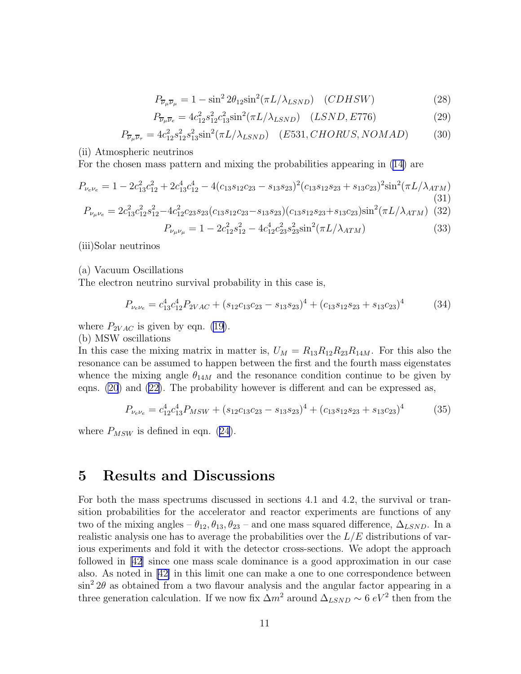$$
P_{\overline{\nu}_{\mu}\overline{\nu}_{\mu}} = 1 - \sin^2 2\theta_{12} \sin^2(\pi L/\lambda_{LSND}) \quad (CDHSW)
$$
 (28)

$$
P_{\overline{\nu}_{\mu}\overline{\nu}_{e}} = 4c_{12}^{2} s_{12}^{2} c_{13}^{2} \sin^{2}(\pi L/\lambda_{LSND}) \quad (LSND, E776)
$$
 (29)

$$
P_{\overline{\nu}_{\mu}\overline{\nu}_{\tau}} = 4c_{12}^2 s_{12}^2 s_{13}^2 \sin^2(\pi L/\lambda_{LSND}) \quad (E531, CHORUS, NOMAD) \tag{30}
$$

<span id="page-11-0"></span>(ii) Atmospheric neutrinos

For the chosen mass pattern and mixing the probabilities appearing in [\(14\)](#page-9-0) are

$$
P_{\nu_e \nu_e} = 1 - 2c_{13}^2 c_{12}^2 + 2c_{13}^4 c_{12}^4 - 4(c_{13}s_{12}c_{23} - s_{13}s_{23})^2 (c_{13}s_{12}s_{23} + s_{13}c_{23})^2 \sin^2(\pi L/\lambda_{ATM})
$$
\n(31)

$$
P_{\nu_{\mu}\nu_{e}} = 2c_{13}^{2}c_{12}^{2}s_{12}^{2} - 4c_{12}^{2}c_{23}s_{23}(c_{13}s_{12}c_{23} - s_{13}s_{23})(c_{13}s_{12}s_{23} + s_{13}c_{23})\sin^{2}(\pi L/\lambda_{ATM})
$$
 (32)

$$
P_{\nu_{\mu}\nu_{\mu}} = 1 - 2c_{12}^2 s_{12}^2 - 4c_{12}^4 c_{23}^2 s_{23}^2 \sin^2(\pi L/\lambda_{ATM})
$$
\n(33)

(iii)Solar neutrinos

(a) Vacuum Oscillations

The electron neutrino survival probability in this case is,

$$
P_{\nu_e \nu_e} = c_{13}^4 c_{12}^4 P_{2VAC} + (s_{12}c_{13}c_{23} - s_{13}s_{23})^4 + (c_{13}s_{12}s_{23} + s_{13}c_{23})^4 \tag{34}
$$

where  $P_{2VAC}$  is given by eqn. [\(19\)](#page-9-0).

(b) MSW oscillations

In this case the mixing matrix in matter is,  $U_M = R_{13}R_{12}R_{23}R_{14M}$ . For this also the resonance can be assumed to happen between the first and the fourth mass eigenstates whence the mixing angle  $\theta_{14M}$  and the resonance condition continue to be given by eqns. [\(20](#page-9-0)) and([22\)](#page-10-0). The probability however is different and can be expressed as,

$$
P_{\nu_e \nu_e} = c_{12}^4 c_{13}^4 P_{MSW} + (s_{12} c_{13} c_{23} - s_{13} s_{23})^4 + (c_{13} s_{12} s_{23} + s_{13} c_{23})^4 \tag{35}
$$

where  $P_{MSW}$  is defined in eqn. [\(24\)](#page-10-0).

# 5 Results and Discussions

For both the mass spectrums discussed in sections 4.1 and 4.2, the survival or transition probabilities for the accelerator and reactor experiments are functions of any two of the mixing angles –  $\theta_{12}, \theta_{13}, \theta_{23}$  – and one mass squared difference,  $\Delta_{LSND}$ . In a realistic analysis one has to average the probabilities over the  $L/E$  distributions of various experiments and fold it with the detector cross-sections. We adopt the approach followed in [\[42\]](#page-22-0) since one mass scale dominance is a good approximation in our case also. As noted in[[42\]](#page-22-0) in this limit one can make a one to one correspondence between  $\sin^2 2\theta$  as obtained from a two flavour analysis and the angular factor appearing in a three generation calculation. If we now fix  $\Delta m^2$  around  $\Delta_{LSND} \sim 6 \ eV^2$  then from the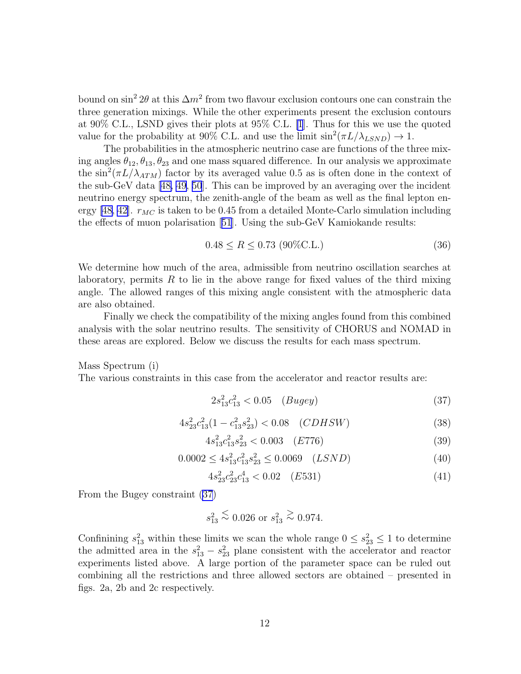<span id="page-12-0"></span>bound on  $\sin^2 2\theta$  at this  $\Delta m^2$  from two flavour exclusion contours one can constrain the three generation mixings. While the other experiments present the exclusion contours at 90% C.L., LSND gives their plots at 95% C.L. [\[1](#page-20-0)]. Thus for this we use the quoted value for the probability at 90% C.L. and use the limit  $\sin^2(\pi L/\lambda_{LSND}) \to 1$ .

The probabilities in the atmospheric neutrino case are functions of the three mixing angles  $\theta_{12}, \theta_{13}, \theta_{23}$  and one mass squared difference. In our analysis we approximate the  $\sin^2(\pi L/\lambda_{ATM})$  factor by its averaged value 0.5 as is often done in the context of the sub-GeV data[[48, 49](#page-22-0), [50](#page-22-0)]. This can be improved by an averaging over the incident neutrino energy spectrum, the zenith-angle of the beam as well as the final lepton en-ergy [\[48, 42\]](#page-22-0).  $r_{MC}$  is taken to be 0.45 from a detailed Monte-Carlo simulation including the effects of muon polarisation[[51](#page-23-0)]. Using the sub-GeV Kamiokande results:

$$
0.48 \le R \le 0.73 \text{ (90%C.L.)}
$$
\n(36)

We determine how much of the area, admissible from neutrino oscillation searches at laboratory, permits  $R$  to lie in the above range for fixed values of the third mixing angle. The allowed ranges of this mixing angle consistent with the atmospheric data are also obtained.

Finally we check the compatibility of the mixing angles found from this combined analysis with the solar neutrino results. The sensitivity of CHORUS and NOMAD in these areas are explored. Below we discuss the results for each mass spectrum.

Mass Spectrum (i)

The various constraints in this case from the accelerator and reactor results are:

$$
2s_{13}^2c_{13}^2 < 0.05 \quad (Bugey) \tag{37}
$$

$$
4s_{23}^2c_{13}^2(1-c_{13}^2s_{23}^2) < 0.08 \quad (CDHSW) \tag{38}
$$

$$
4s_{13}^2c_{13}^2s_{23}^2 < 0.003 \quad (E776) \tag{39}
$$

$$
0.0002 \le 4s_{13}^2 c_{13}^2 s_{23}^2 \le 0.0069 \quad (LSND)
$$
 (40)

$$
4s_{23}^2c_{23}^2c_{13}^4 < 0.02 \quad (E531) \tag{41}
$$

From the Bugey constraint (37)

$$
s_{13}^2 \stackrel{\textstyle <}{\sim} 0.026
$$
 or  $s_{13}^2 \stackrel{\textstyle >}{\sim} 0.974$ .

Confinining  $s_{13}^2$  within these limits we scan the whole range  $0 \leq s_{23}^2 \leq 1$  to determine the admitted area in the  $s_{13}^2 - s_{23}^2$  plane consistent with the accelerator and reactor experiments listed above. A large portion of the parameter space can be ruled out combining all the restrictions and three allowed sectors are obtained – presented in figs. 2a, 2b and 2c respectively.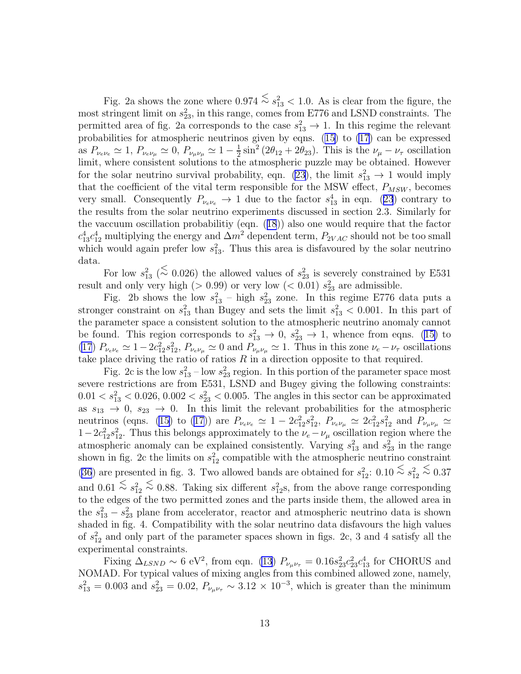Fig. 2a shows the zone where  $0.974 \stackrel{\textstyle<}{\sim} s_{13}^2 < 1.0$ . As is clear from the figure, the most stringent limit on  $s_{23}^2$ , in this range, comes from E776 and LSND constraints. The permitted area of fig. 2a corresponds to the case  $s_{13}^2 \rightarrow 1$ . In this regime the relevant probabilities for atmospheric neutrinos given by eqns.([15\)](#page-9-0) to [\(17](#page-9-0)) can be expressed as  $P_{\nu_e \nu_e} \simeq 1, P_{\nu_e \nu_\mu} \simeq 0, P_{\nu_\mu \nu_\mu} \simeq 1 - \frac{1}{2}$  $\frac{1}{2}\sin^2(2\theta_{12}+2\theta_{23})$ . This is the  $\nu_\mu-\nu_\tau$  oscillation limit, where consistent solutions to the atmospheric puzzle may be obtained. However for the solar neutrino survival probability, eqn. [\(23](#page-10-0)), the limit  $s_{13}^2 \rightarrow 1$  would imply that the coefficient of the vital term responsible for the MSW effect,  $P_{MSW}$ , becomes verysmall. Consequently  $P_{\nu_e \nu_e} \rightarrow 1$  due to the factor  $s_{13}^4$  in eqn. ([23](#page-10-0)) contrary to the results from the solar neutrino experiments discussed in section 2.3. Similarly for the vaccuum oscillation probabilitiy (eqn.([18](#page-9-0))) also one would require that the factor  $c_{13}^4 c_{12}^4$  multiplying the energy and  $\Delta m^2$  dependent term,  $P_{2VAC}$  should not be too small which would again prefer low  $s_{13}^2$ . Thus this area is disfavoured by the solar neutrino data.

For low  $s_{13}^2$  ( $\leq$  0.026) the allowed values of  $s_{23}^2$  is severely constrained by E531 result and only very high ( $> 0.99$ ) or very low ( $< 0.01$ )  $s_{23}^2$  are admissible.

Fig. 2b shows the low  $s_{13}^2$  – high  $s_{23}^2$  zone. In this regime E776 data puts a stronger constraint on  $s_{13}^2$  than Bugey and sets the limit  $s_{13}^2$  < 0.001. In this part of the parameter space a consistent solution to the atmospheric neutrino anomaly cannot befound. This region corresponds to  $s_{13}^2 \rightarrow 0$ ,  $s_{23}^2 \rightarrow 1$ , whence from eqns. ([15\)](#page-9-0) to [\(17](#page-9-0))  $P_{\nu_e \nu_e} \simeq 1-2c_{12}^2 s_{12}^2$ ,  $P_{\nu_e \nu_\mu} \simeq 0$  and  $P_{\nu_\mu \nu_\mu} \simeq 1$ . Thus in this zone  $\nu_e - \nu_\tau$  oscillations take place driving the ratio of ratios  $R$  in a direction opposite to that required.

Fig. 2c is the low  $s_{13}^2$  – low  $s_{23}^2$  region. In this portion of the parameter space most severe restrictions are from E531, LSND and Bugey giving the following constraints:  $0.01 < s_{13}^2 < 0.026, 0.002 < s_{23}^2 < 0.005$ . The angles in this sector can be approximated as  $s_{13} \rightarrow 0$ ,  $s_{23} \rightarrow 0$ . In this limit the relevant probabilities for the atmospheric neutrinos (eqns. [\(15\)](#page-9-0) to [\(17\)](#page-9-0)) are  $P_{\nu_e \nu_e} \simeq 1 - 2c_{12}^2 s_{12}^2$ ,  $P_{\nu_e \nu_\mu} \simeq 2c_{12}^2 s_{12}^2$  and  $P_{\nu_\mu \nu_\mu} \simeq$  $1-2c_{12}^2s_{12}^2$ . Thus this belongs approximately to the  $\nu_e-\nu_\mu$  oscillation region where the atmospheric anomaly can be explained consistently. Varying  $s_{13}^2$  and  $s_{23}^2$  in the range shown in fig. 2c the limits on  $s_{12}^2$  compatible with the atmospheric neutrino constraint [\(36](#page-12-0)) are presented in fig. 3. Two allowed bands are obtained for  $s_{12}^2$ :  $0.10 \stackrel{\textless}{\sim} s_{12}^2 \stackrel{\textless}{\sim} 0.37$ and  $0.61 \stackrel{\textstyle<}{\sim} s_{12}^2 \stackrel{\textstyle<}{\sim} 0.88$ . Taking six different  $s_{12}^2$ s, from the above range corresponding to the edges of the two permitted zones and the parts inside them, the allowed area in the  $s_{13}^2 - s_{23}^2$  plane from accelerator, reactor and atmospheric neutrino data is shown shaded in fig. 4. Compatibility with the solar neutrino data disfavours the high values of  $s_{12}^2$  and only part of the parameter spaces shown in figs. 2c, 3 and 4 satisfy all the experimental constraints.

Fixing  $\Delta_{LSND} \sim 6 \text{ eV}^2$ , from eqn. [\(13](#page-9-0))  $P_{\nu_{\mu}\nu_{\tau}} = 0.16s_{23}^2c_{23}^2c_{13}^4$  for CHORUS and NOMAD. For typical values of mixing angles from this combined allowed zone, namely,  $s_{13}^2 = 0.003$  and  $s_{23}^2 = 0.02$ ,  $P_{\nu_\mu \nu_\tau} \sim 3.12 \times 10^{-3}$ , which is greater than the minimum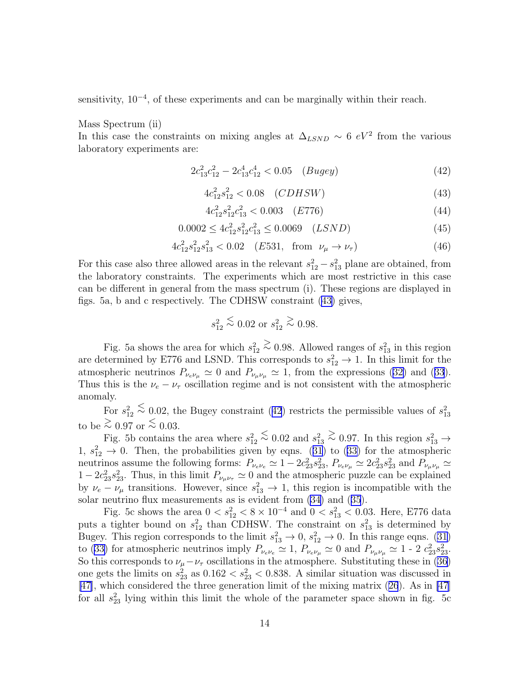sensitivity,  $10^{-4}$ , of these experiments and can be marginally within their reach.

Mass Spectrum (ii)

In this case the constraints on mixing angles at  $\Delta_{LSND} \sim 6 \ eV^2$  from the various laboratory experiments are:

$$
2c_{13}^2c_{12}^2 - 2c_{13}^4c_{12}^4 < 0.05 \quad (Bugey) \tag{42}
$$

$$
4c_{12}^2s_{12}^2 < 0.08 \quad (CDHSW) \tag{43}
$$

$$
4c_{12}^2 s_{12}^2 c_{13}^2 < 0.003 \quad (E776) \tag{44}
$$

$$
0.0002 \le 4c_{12}^2 s_{12}^2 c_{13}^2 \le 0.0069 \quad (LSND)
$$
\n
$$
(45)
$$

$$
4c_{12}^2 s_{12}^2 s_{13}^2 < 0.02 \quad (E531, \text{ from } \nu_\mu \to \nu_\tau)
$$
 (46)

For this case also three allowed areas in the relevant  $s_{12}^2 - s_{13}^2$  plane are obtained, from the laboratory constraints. The experiments which are most restrictive in this case can be different in general from the mass spectrum (i). These regions are displayed in figs. 5a, b and c respectively. The CDHSW constraint (43) gives,

$$
s_{12}^2 \stackrel{\textstyle <}{\sim} 0.02
$$
 or  $s_{12}^2 \stackrel{\textstyle >}{\sim} 0.98$ .

Fig. 5a shows the area for which  $s_{12}^2 \stackrel{\text{>}{\sim}} 0.98$ . Allowed ranges of  $s_{13}^2$  in this region are determined by E776 and LSND. This corresponds to  $s_{12}^2 \rightarrow 1$ . In this limit for the atmosphericneutrinos  $P_{\nu_e \nu_\mu} \simeq 0$  and  $P_{\nu_\mu \nu_\mu} \simeq 1$ , from the expressions ([32\)](#page-11-0) and ([33](#page-11-0)). Thus this is the  $\nu_e - \nu_\tau$  oscillation regime and is not consistent with the atmospheric anomaly.

For  $s_{12}^2 \stackrel{\textstyle <}{\sim} 0.02$ , the Bugey constraint (42) restricts the permissible values of  $s_{13}^2$ to be  $\geq 0.97$  or  $\leq 0.03$ .

Fig. 5b contains the area where  $s_{12}^2 \stackrel{<}{\sim} 0.02$  and  $s_{13}^2 \stackrel{>}{\sim} 0.97$ . In this region  $s_{13}^2 \rightarrow$  $1, s_{12}^2 \rightarrow 0$  $1, s_{12}^2 \rightarrow 0$  $1, s_{12}^2 \rightarrow 0$ . Then, the probabilities given by eqns. ([31](#page-11-0)) to ([33\)](#page-11-0) for the atmospheric neutrinos assume the following forms:  $P_{\nu_e \nu_e} \simeq 1 - 2c_{23}^2 s_{23}^2$ ,  $P_{\nu_e \nu_\mu} \simeq 2c_{23}^2 s_{23}^2$  and  $P_{\nu_\mu \nu_\mu} \simeq$  $1-2c_{23}^2s_{23}^2$ . Thus, in this limit  $P_{\nu_\mu\nu_\tau}\simeq 0$  and the atmospheric puzzle can be explained by  $\nu_e - \nu_\mu$  transitions. However, since  $s_{13}^2 \rightarrow 1$ , this region is incompatible with the solar neutrino flux measurements as is evident from [\(34\)](#page-11-0) and([35](#page-11-0)).

Fig. 5c shows the area  $0 < s_{12}^2 < 8 \times 10^{-4}$  and  $0 < s_{13}^2 < 0.03$ . Here, E776 data puts a tighter bound on  $s_{12}^2$  than CDHSW. The constraint on  $s_{13}^2$  is determined by Bugey. This region corresponds to the limit  $s_{13}^2 \to 0$ ,  $s_{12}^2 \to 0$ . In this range eqns. [\(31\)](#page-11-0) to([33\)](#page-11-0) for atmospheric neutrinos imply  $P_{\nu_e \nu_e} \simeq 1$ ,  $P_{\nu_e \nu_\mu} \simeq 0$  and  $P_{\nu_\mu \nu_\mu} \simeq 1$  - 2  $c_{23}^2 s_{23}^2$ . So this corresponds to  $\nu_{\mu}-\nu_{\tau}$  oscillations in the atmosphere. Substituting these in [\(36\)](#page-12-0) one gets the limits on  $s_{23}^2$  as  $0.162 < s_{23}^2 < 0.838$ . A similar situation was discussed in [\[47\]](#page-22-0), which considered the three generation limit of the mixing matrix([26](#page-10-0)). As in [\[47](#page-22-0)] for all  $s_{23}^2$  lying within this limit the whole of the parameter space shown in fig. 5c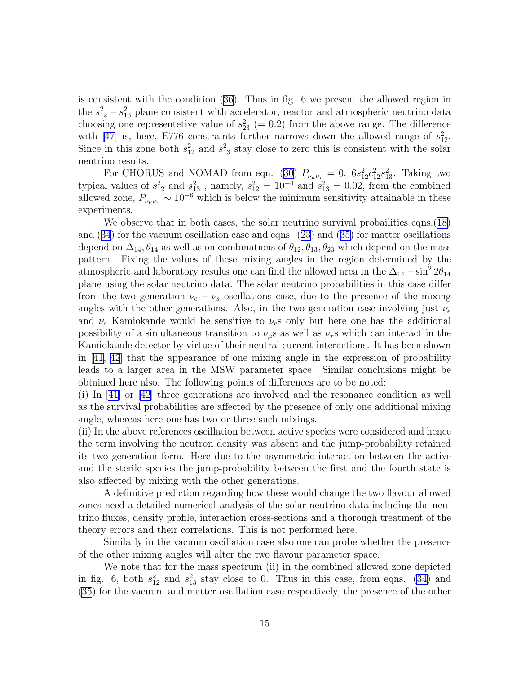is consistent with the condition([36](#page-12-0)). Thus in fig. 6 we present the allowed region in the  $s_{12}^2 - s_{13}^2$  plane consistent with accelerator, reactor and atmospheric neutrino data choosing one representetive value of  $s_{23}^2$  (= 0.2) from the above range. The difference with [\[47\]](#page-22-0) is, here, E776 constraints further narrows down the allowed range of  $s_{12}^2$ . Since in this zone both  $s_{12}^2$  and  $s_{13}^2$  stay close to zero this is consistent with the solar neutrino results.

For CHORUS and NOMAD from eqn. [\(30](#page-11-0))  $P_{\nu_{\mu}\nu_{\tau}} = 0.16s_{12}^2c_{12}^2s_{13}^2$ . Taking two typical values of  $s_{12}^2$  and  $s_{13}^2$ , namely,  $s_{12}^2 = 10^{-4}$  and  $s_{13}^2 = 0.02$ , from the combined allowed zone,  $P_{\nu_{\mu}\nu_{\tau}} \sim 10^{-6}$  which is below the minimum sensitivity attainable in these experiments.

We observe that in both cases, the solar neutrino survival probailities eqns. ([18\)](#page-9-0) and([34](#page-11-0)) for the vacuum oscillation case and eqns.([23](#page-10-0)) and([35\)](#page-11-0) for matter oscillations depend on  $\Delta_{14}$ ,  $\theta_{14}$  as well as on combinations of  $\theta_{12}$ ,  $\theta_{13}$ ,  $\theta_{23}$  which depend on the mass pattern. Fixing the values of these mixing angles in the region determined by the atmospheric and laboratory results one can find the allowed area in the  $\Delta_{14} - \sin^2 2\theta_{14}$ plane using the solar neutrino data. The solar neutrino probabilities in this case differ from the two generation  $\nu_e - \nu_s$  oscillations case, due to the presence of the mixing angles with the other generations. Also, in the two generation case involving just  $\nu_e$ and  $\nu_s$  Kamiokande would be sensitive to  $\nu_e$ s only but here one has the additional possibility of a simultaneous transition to  $\nu_{\mu}$ s as well as  $\nu_{\tau}$ s which can interact in the Kamiokande detector by virtue of their neutral current interactions. It has been shown in[[41, 42](#page-22-0)] that the appearance of one mixing angle in the expression of probability leads to a larger area in the MSW parameter space. Similar conclusions might be obtained here also. The following points of differences are to be noted:

(i) In [\[41](#page-22-0)] or [\[42](#page-22-0)] three generations are involved and the resonance condition as well as the survival probabilities are affected by the presence of only one additional mixing angle, whereas here one has two or three such mixings.

(ii) In the above references oscillation between active species were considered and hence the term involving the neutron density was absent and the jump-probability retained its two generation form. Here due to the asymmetric interaction between the active and the sterile species the jump-probability between the first and the fourth state is also affected by mixing with the other generations.

A definitive prediction regarding how these would change the two flavour allowed zones need a detailed numerical analysis of the solar neutrino data including the neutrino fluxes, density profile, interaction cross-sections and a thorough treatment of the theory errors and their correlations. This is not performed here.

Similarly in the vacuum oscillation case also one can probe whether the presence of the other mixing angles will alter the two flavour parameter space.

We note that for the mass spectrum (ii) in the combined allowed zone depicted in fig. 6, both  $s_{12}^2$  and  $s_{13}^2$  stay close to 0. Thus in this case, from eqns. [\(34\)](#page-11-0) and [\(35](#page-11-0)) for the vacuum and matter oscillation case respectively, the presence of the other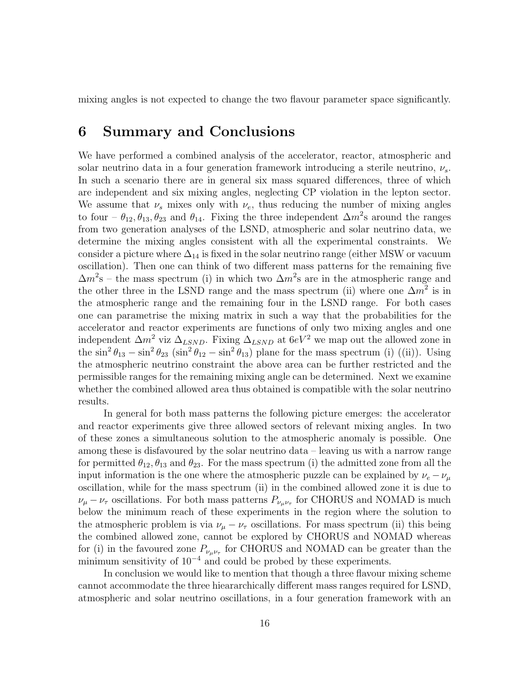mixing angles is not expected to change the two flavour parameter space significantly.

## 6 Summary and Conclusions

We have performed a combined analysis of the accelerator, reactor, atmospheric and solar neutrino data in a four generation framework introducing a sterile neutrino,  $\nu_s$ . In such a scenario there are in general six mass squared differences, three of which are independent and six mixing angles, neglecting CP violation in the lepton sector. We assume that  $\nu_s$  mixes only with  $\nu_e$ , thus reducing the number of mixing angles to four –  $\theta_{12}, \theta_{13}, \theta_{23}$  and  $\theta_{14}$ . Fixing the three independent  $\Delta m^2$ s around the ranges from two generation analyses of the LSND, atmospheric and solar neutrino data, we determine the mixing angles consistent with all the experimental constraints. We consider a picture where  $\Delta_{14}$  is fixed in the solar neutrino range (either MSW or vacuum oscillation). Then one can think of two different mass patterns for the remaining five  $\Delta m^2$ s – the mass spectrum (i) in which two  $\Delta m^2$ s are in the atmospheric range and the other three in the LSND range and the mass spectrum (ii) where one  $\Delta m^2$  is in the atmospheric range and the remaining four in the LSND range. For both cases one can parametrise the mixing matrix in such a way that the probabilities for the accelerator and reactor experiments are functions of only two mixing angles and one independent  $\Delta m^2$  viz  $\Delta_{LSND}$ . Fixing  $\Delta_{LSND}$  at  $6eV^2$  we map out the allowed zone in the  $\sin^2 \theta_{13} - \sin^2 \theta_{23}$  ( $\sin^2 \theta_{12} - \sin^2 \theta_{13}$ ) plane for the mass spectrum (i) ((ii)). Using the atmospheric neutrino constraint the above area can be further restricted and the permissible ranges for the remaining mixing angle can be determined. Next we examine whether the combined allowed area thus obtained is compatible with the solar neutrino results.

In general for both mass patterns the following picture emerges: the accelerator and reactor experiments give three allowed sectors of relevant mixing angles. In two of these zones a simultaneous solution to the atmospheric anomaly is possible. One among these is disfavoured by the solar neutrino data – leaving us with a narrow range for permitted  $\theta_{12}, \theta_{13}$  and  $\theta_{23}$ . For the mass spectrum (i) the admitted zone from all the input information is the one where the atmospheric puzzle can be explained by  $\nu_e - \nu_\mu$ oscillation, while for the mass spectrum (ii) in the combined allowed zone it is due to  $\nu_{\mu} - \nu_{\tau}$  oscillations. For both mass patterns  $P_{\nu_{\mu}\nu_{\tau}}$  for CHORUS and NOMAD is much below the minimum reach of these experiments in the region where the solution to the atmospheric problem is via  $\nu_{\mu} - \nu_{\tau}$  oscillations. For mass spectrum (ii) this being the combined allowed zone, cannot be explored by CHORUS and NOMAD whereas for (i) in the favoured zone  $P_{\nu_\mu\nu_\tau}$  for CHORUS and NOMAD can be greater than the minimum sensitivity of  $10^{-4}$  and could be probed by these experiments.

In conclusion we would like to mention that though a three flavour mixing scheme cannot accommodate the three hieararchically different mass ranges required for LSND, atmospheric and solar neutrino oscillations, in a four generation framework with an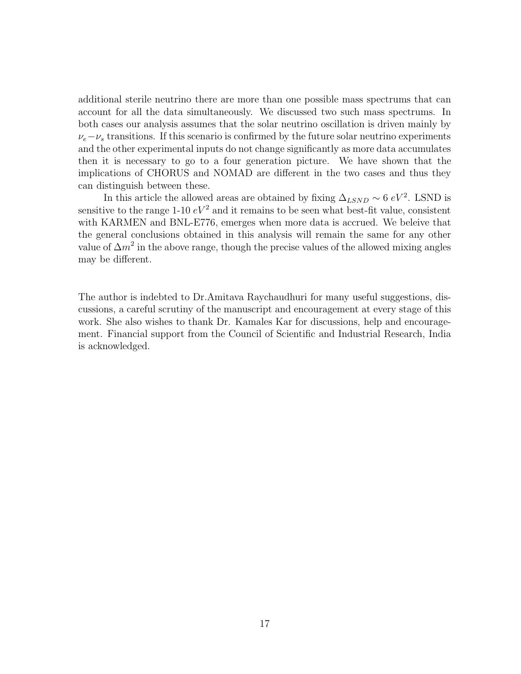additional sterile neutrino there are more than one possible mass spectrums that can account for all the data simultaneously. We discussed two such mass spectrums. In both cases our analysis assumes that the solar neutrino oscillation is driven mainly by  $\nu_e - \nu_s$  transitions. If this scenario is confirmed by the future solar neutrino experiments and the other experimental inputs do not change significantly as more data accumulates then it is necessary to go to a four generation picture. We have shown that the implications of CHORUS and NOMAD are different in the two cases and thus they can distinguish between these.

In this article the allowed areas are obtained by fixing  $\Delta_{LSND} \sim 6 \ eV^2$ . LSND is sensitive to the range 1-10  $eV^2$  and it remains to be seen what best-fit value, consistent with KARMEN and BNL-E776, emerges when more data is accrued. We beleive that the general conclusions obtained in this analysis will remain the same for any other value of  $\Delta m^2$  in the above range, though the precise values of the allowed mixing angles may be different.

The author is indebted to Dr.Amitava Raychaudhuri for many useful suggestions, discussions, a careful scrutiny of the manuscript and encouragement at every stage of this work. She also wishes to thank Dr. Kamales Kar for discussions, help and encouragement. Financial support from the Council of Scientific and Industrial Research, India is acknowledged.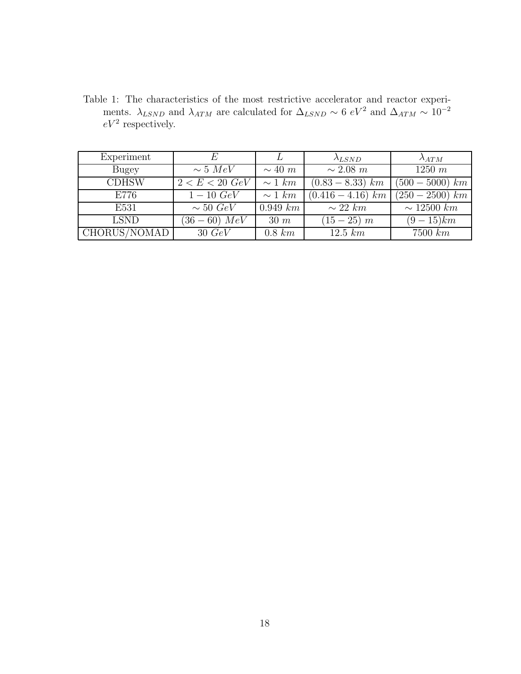Table 1: The characteristics of the most restrictive accelerator and reactor experiments.  $\lambda_{LSND}$  and  $\lambda_{ATM}$  are calculated for  $\Delta_{LSND} \sim 6 \ eV^2$  and  $\Delta_{ATM} \sim 10^{-2}$  $eV^2$  respectively.

| Experiment   | F.               |                | $\lambda_{LSND}$    | $\lambda_{ATM}$          |
|--------------|------------------|----------------|---------------------|--------------------------|
| Bugey        | $\sim 5 \; MeV$  | $\sim 40 \; m$ | $\sim 2.08\ m$      | $1250 \; m$              |
| <b>CDHSW</b> | $2 < E < 20~GeV$ | $\sim 1$ km    | $(0.83 - 8.33)$ km  | $(500 - 5000)$ km        |
| E776         | $1 - 10 \; GeV$  | $\sim 1$ km    | $(0.416 - 4.16)$ km | $\sqrt{(250 - 2500)}$ km |
| E531         | $\sim 50 \; GeV$ | $0.949\ km$    | $\sim 22 \; km$     | $\sim 12500\ km$         |
| <b>LSND</b>  | $(36-60)$ MeV    | $30 \; m$      | $(15-25)$ m         | $(9-15)km$               |
| CHORUS/NOMAD | $30\ GeV$        | $0.8 \; km$    | $12.5 \; km$        | $7500\ km$               |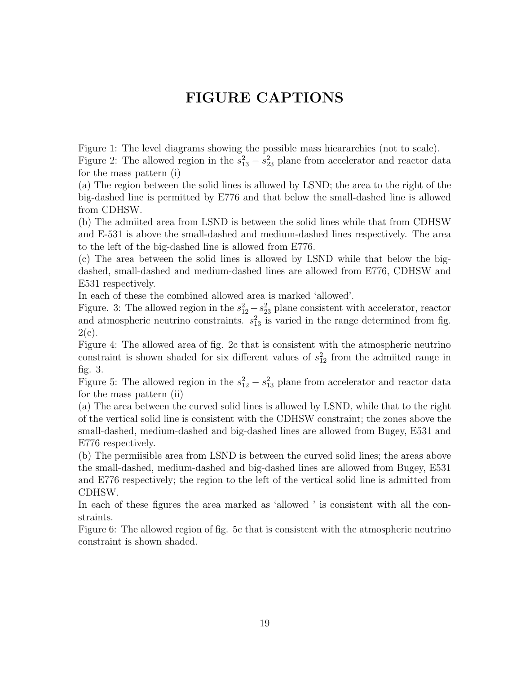# FIGURE CAPTIONS

Figure 1: The level diagrams showing the possible mass hieararchies (not to scale). Figure 2: The allowed region in the  $s_{13}^2 - s_{23}^2$  plane from accelerator and reactor data for the mass pattern (i)

(a) The region between the solid lines is allowed by LSND; the area to the right of the big-dashed line is permitted by E776 and that below the small-dashed line is allowed from CDHSW.

(b) The admiited area from LSND is between the solid lines while that from CDHSW and E-531 is above the small-dashed and medium-dashed lines respectively. The area to the left of the big-dashed line is allowed from E776.

(c) The area between the solid lines is allowed by LSND while that below the bigdashed, small-dashed and medium-dashed lines are allowed from E776, CDHSW and E531 respectively.

In each of these the combined allowed area is marked 'allowed'.

Figure. 3: The allowed region in the  $s_{12}^2 - s_{23}^2$  plane consistent with accelerator, reactor and atmospheric neutrino constraints.  $s_{13}^2$  is varied in the range determined from fig.  $2(c)$ .

Figure 4: The allowed area of fig. 2c that is consistent with the atmospheric neutrino constraint is shown shaded for six different values of  $s_{12}^2$  from the admiited range in fig. 3.

Figure 5: The allowed region in the  $s_{12}^2 - s_{13}^2$  plane from accelerator and reactor data for the mass pattern (ii)

(a) The area between the curved solid lines is allowed by LSND, while that to the right of the vertical solid line is consistent with the CDHSW constraint; the zones above the small-dashed, medium-dashed and big-dashed lines are allowed from Bugey, E531 and E776 respectively.

(b) The permiisible area from LSND is between the curved solid lines; the areas above the small-dashed, medium-dashed and big-dashed lines are allowed from Bugey, E531 and E776 respectively; the region to the left of the vertical solid line is admitted from CDHSW.

In each of these figures the area marked as 'allowed ' is consistent with all the constraints.

Figure 6: The allowed region of fig. 5c that is consistent with the atmospheric neutrino constraint is shown shaded.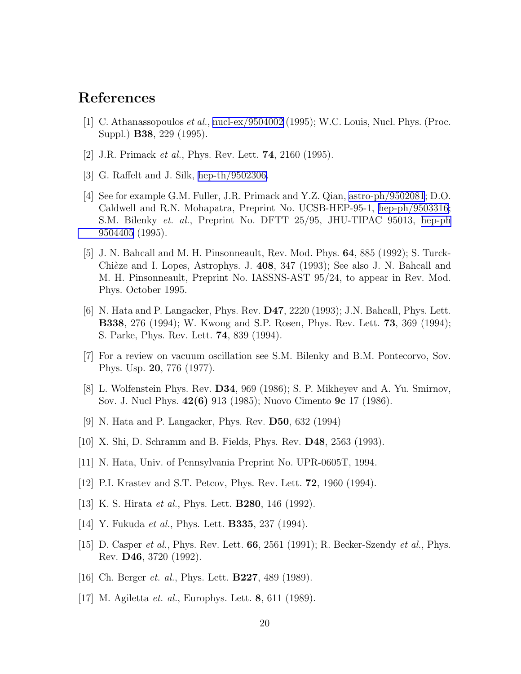## <span id="page-20-0"></span>References

- [1] C. Athanassopoulos et al., [nucl-ex/9504002](http://arxiv.org/abs/nucl-ex/9504002) (1995); W.C. Louis, Nucl. Phys. (Proc. Suppl.) B38, 229 (1995).
- [2] J.R. Primack *et al.*, Phys. Rev. Lett. **74**, 2160 (1995).
- [3] G. Raffelt and J. Silk, [hep-th/9502306.](http://arxiv.org/abs/hep-th/9502306)
- [4] See for example G.M. Fuller, J.R. Primack and Y.Z. Qian, [astro-ph/9502081](http://arxiv.org/abs/astro-ph/9502081); D.O. Caldwell and R.N. Mohapatra, Preprint No. UCSB-HEP-95-1, [hep-ph/9503316](http://arxiv.org/abs/hep-ph/9503316); S.M. Bilenky et. al., Preprint No. DFTT 25/95, JHU-TIPAC 95013, [hep-ph](http://arxiv.org/abs/hep-ph/9504405) [9504405](http://arxiv.org/abs/hep-ph/9504405) (1995).
- [5] J. N. Bahcall and M. H. Pinsonneault, Rev. Mod. Phys. 64, 885 (1992); S. Turck-Chièze and I. Lopes, Astrophys. J. 408, 347 (1993); See also J. N. Bahcall and M. H. Pinsonneault, Preprint No. IASSNS-AST 95/24, to appear in Rev. Mod. Phys. October 1995.
- [6] N. Hata and P. Langacker, Phys. Rev. D47, 2220 (1993); J.N. Bahcall, Phys. Lett. B338, 276 (1994); W. Kwong and S.P. Rosen, Phys. Rev. Lett. 73, 369 (1994); S. Parke, Phys. Rev. Lett. 74, 839 (1994).
- [7] For a review on vacuum oscillation see S.M. Bilenky and B.M. Pontecorvo, Sov. Phys. Usp. 20, 776 (1977).
- [8] L. Wolfenstein Phys. Rev. D34, 969 (1986); S. P. Mikheyev and A. Yu. Smirnov, Sov. J. Nucl Phys. 42(6) 913 (1985); Nuovo Cimento 9c 17 (1986).
- [9] N. Hata and P. Langacker, Phys. Rev. D50, 632 (1994)
- [10] X. Shi, D. Schramm and B. Fields, Phys. Rev. D48, 2563 (1993).
- [11] N. Hata, Univ. of Pennsylvania Preprint No. UPR-0605T, 1994.
- [12] P.I. Krastev and S.T. Petcov, Phys. Rev. Lett. **72**, 1960 (1994).
- [13] K. S. Hirata *et al.*, Phys. Lett. **B280**, 146 (1992).
- [14] Y. Fukuda *et al.*, Phys. Lett. **B335**, 237 (1994).
- [15] D. Casper *et al.*, Phys. Rev. Lett.  $66$ ,  $2561$  (1991); R. Becker-Szendy *et al.*, Phys. Rev. D46, 3720 (1992).
- [16] Ch. Berger *et. al.*, Phys. Lett. **B227**, 489 (1989).
- [17] M. Agiletta et. al., Europhys. Lett. 8, 611 (1989).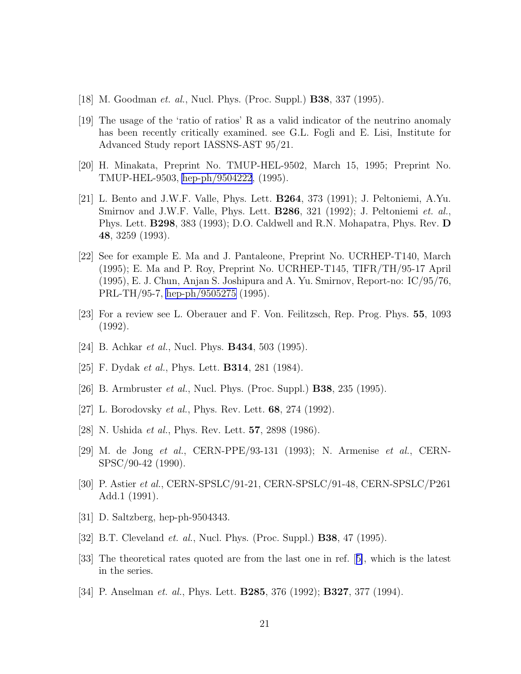- <span id="page-21-0"></span>[18] M. Goodman *et. al.*, Nucl. Phys. (Proc. Suppl.) **B38**, 337 (1995).
- [19] The usage of the 'ratio of ratios' R as a valid indicator of the neutrino anomaly has been recently critically examined. see G.L. Fogli and E. Lisi, Institute for Advanced Study report IASSNS-AST 95/21.
- [20] H. Minakata, Preprint No. TMUP-HEL-9502, March 15, 1995; Preprint No. TMUP-HEL-9503, [hep-ph/9504222](http://arxiv.org/abs/hep-ph/9504222), (1995).
- [21] L. Bento and J.W.F. Valle, Phys. Lett. B264, 373 (1991); J. Peltoniemi, A.Yu. Smirnov and J.W.F. Valle, Phys. Lett. B286, 321 (1992); J. Peltoniemi et. al., Phys. Lett. B298, 383 (1993); D.O. Caldwell and R.N. Mohapatra, Phys. Rev. D 48, 3259 (1993).
- [22] See for example E. Ma and J. Pantaleone, Preprint No. UCRHEP-T140, March (1995); E. Ma and P. Roy, Preprint No. UCRHEP-T145, TIFR/TH/95-17 April (1995), E. J. Chun, Anjan S. Joshipura and A. Yu. Smirnov, Report-no: IC/95/76, PRL-TH/95-7, [hep-ph/9505275](http://arxiv.org/abs/hep-ph/9505275) (1995).
- [23] For a review see L. Oberauer and F. Von. Feilitzsch, Rep. Prog. Phys. 55, 1093 (1992).
- [24] B. Achkar *et al.*, Nucl. Phys. **B434**, 503 (1995).
- [25] F. Dydak *et al.*, Phys. Lett. **B314**, 281 (1984).
- [26] B. Armbruster *et al.*, Nucl. Phys. (Proc. Suppl.) **B38**, 235 (1995).
- [27] L. Borodovsky *et al.*, Phys. Rev. Lett.  $68$ ,  $274$  (1992).
- [28] N. Ushida *et al.*, Phys. Rev. Lett. **57**, 2898 (1986).
- [29] M. de Jong et al., CERN-PPE/93-131 (1993); N. Armenise et al., CERN-SPSC/90-42 (1990).
- [30] P. Astier et al., CERN-SPSLC/91-21, CERN-SPSLC/91-48, CERN-SPSLC/P261 Add.1 (1991).
- [31] D. Saltzberg, hep-ph-9504343.
- [32] B.T. Cleveland *et. al.*, Nucl. Phys. (Proc. Suppl.) **B38**, 47 (1995).
- [33] The theoretical rates quoted are from the last one in ref.[[5\]](#page-20-0), which is the latest in the series.
- [34] P. Anselman *et. al.*, Phys. Lett. **B285**, 376 (1992); **B327**, 377 (1994).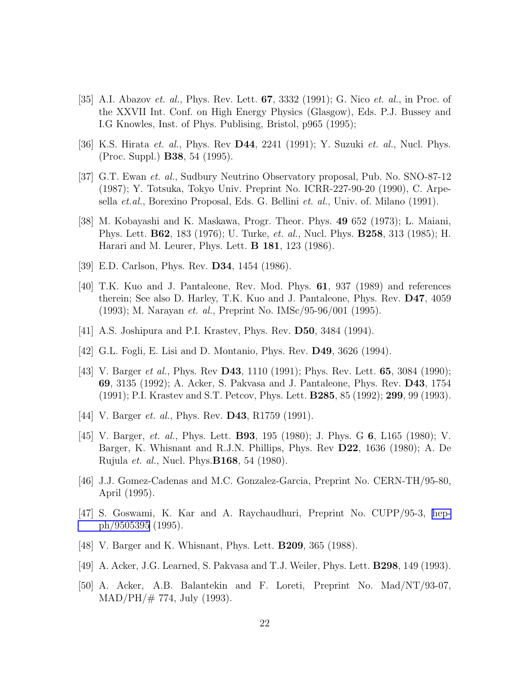- <span id="page-22-0"></span>[35] A.I. Abazov *et. al.*, Phys. Rev. Lett.  $67$ ,  $3332$  (1991); G. Nico *et. al.*, in Proc. of the XXVII Int. Conf. on High Energy Physics (Glasgow), Eds. P.J. Bussey and I.G Knowles, Inst. of Phys. Publising, Bristol, p965 (1995);
- [36] K.S. Hirata *et. al.*, Phys. Rev **D44**, 2241 (1991); Y. Suzuki *et. al.*, Nucl. Phys. (Proc. Suppl.) B38, 54 (1995).
- [37] G.T. Ewan et. al., Sudbury Neutrino Observatory proposal, Pub. No. SNO-87-12 (1987); Y. Totsuka, Tokyo Univ. Preprint No. ICRR-227-90-20 (1990), C. Arpesella et.al., Borexino Proposal, Eds. G. Bellini et. al., Univ. of. Milano (1991).
- [38] M. Kobayashi and K. Maskawa, Progr. Theor. Phys. 49 652 (1973); L. Maiani, Phys. Lett. **B62**, 183 (1976); U. Turke, *et. al.*, Nucl. Phys. **B258**, 313 (1985); H. Harari and M. Leurer, Phys. Lett. B 181, 123 (1986).
- [39] E.D. Carlson, Phys. Rev. **D34**, 1454 (1986).
- [40] T.K. Kuo and J. Pantaleone, Rev. Mod. Phys. 61, 937 (1989) and references therein; See also D. Harley, T.K. Kuo and J. Pantaleone, Phys. Rev. D47, 4059 (1993); M. Narayan et. al., Preprint No. IMSc/95-96/001 (1995).
- [41] A.S. Joshipura and P.I. Krastev, Phys. Rev. D50, 3484 (1994).
- [42] G.L. Fogli, E. Lisi and D. Montanio, Phys. Rev. D49, 3626 (1994).
- [43] V. Barger et al., Phys. Rev D43, 1110 (1991); Phys. Rev. Lett. 65, 3084 (1990); 69, 3135 (1992); A. Acker, S. Pakvasa and J. Pantaleone, Phys. Rev. D43, 1754 (1991); P.I. Krastev and S.T. Petcov, Phys. Lett. B285, 85 (1992); 299, 99 (1993).
- [44] V. Barger *et. al.*, Phys. Rev. **D43**, R1759 (1991).
- [45] V. Barger, et. al., Phys. Lett. B93, 195 (1980); J. Phys. G 6, L165 (1980); V. Barger, K. Whisnant and R.J.N. Phillips, Phys. Rev D22, 1636 (1980); A. De Rujula et. al., Nucl. Phys.B168, 54 (1980).
- [46] J.J. Gomez-Cadenas and M.C. Gonzalez-Garcia, Preprint No. CERN-TH/95-80, April (1995).
- [47] S. Goswami, K. Kar and A. Raychaudhuri, Preprint No. CUPP/95-3, [hep](http://arxiv.org/abs/hep-ph/9505395)[ph/9505395](http://arxiv.org/abs/hep-ph/9505395) (1995).
- [48] V. Barger and K. Whisnant, Phys. Lett. B209, 365 (1988).
- [49] A. Acker, J.G. Learned, S. Pakvasa and T.J. Weiler, Phys. Lett. B298, 149 (1993).
- [50] A. Acker, A.B. Balantekin and F. Loreti, Preprint No. Mad/NT/93-07,  $MAD/PH/\# 774$ , July (1993).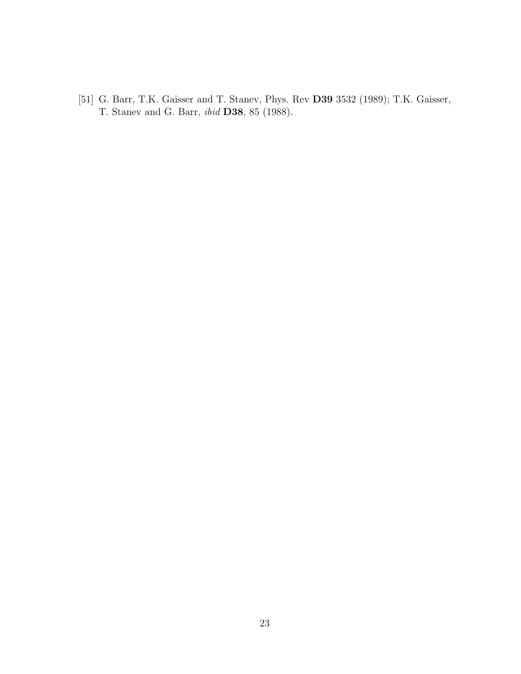<span id="page-23-0"></span>[51] G. Barr, T.K. Gaisser and T. Stanev, Phys. Rev D39 3532 (1989); T.K. Gaisser, T. Stanev and G. Barr, ibid D38, 85 (1988).